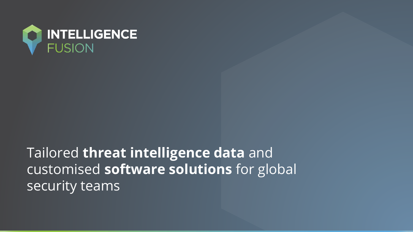

### Tailored **threat intelligence data** and customised **software solutions** for global security teams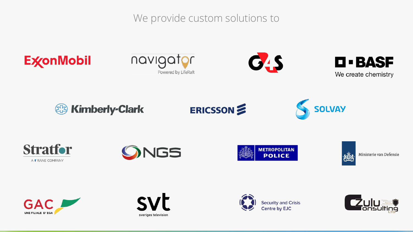We provide custom solutions to

















A **I** RANE COMPANY







Ministerie van Defensie







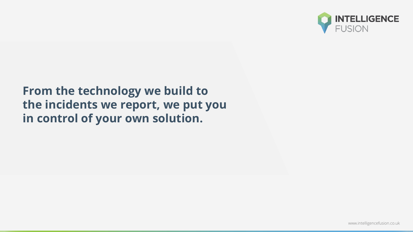

#### **From the technology we build to the incidents we report, we put you in control of your own solution.**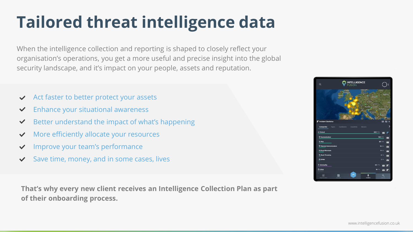## **Tailored threat intelligence data**

When the intelligence collection and reporting is shaped to closely reflect your organisation's operations, you get a more useful and precise insight into the global security landscape, and it's impact on your people, assets and reputation.

- Act faster to better protect your assets  $\checkmark$
- Enhance your situational awareness  $\checkmark$
- Better understand the impact of what's happening  $\checkmark$
- More efficiently allocate your resources  $\checkmark$
- Improve your team's performance  $\checkmark$
- Save time, money, and in some cases, lives  $\checkmark$

**That's why every new client receives an Intelligence Collection Plan as part of their onboarding process.**

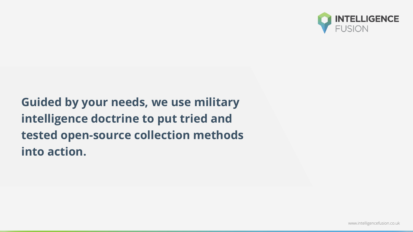

#### **Guided by your needs, we use military intelligence doctrine to put tried and tested open-source collection methods into action.**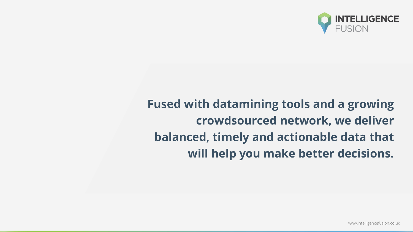

**Fused with datamining tools and a growing crowdsourced network, we deliver balanced, timely and actionable data that will help you make better decisions.**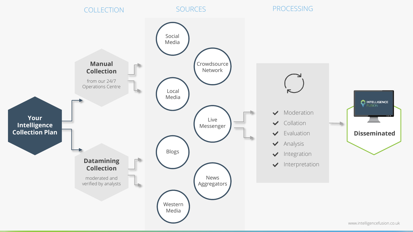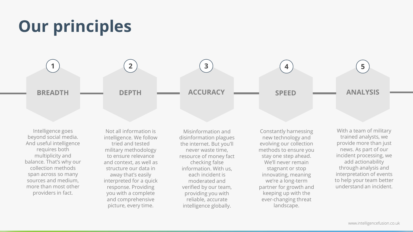### **Our principles**



Intelligence goes beyond social media. And useful intelligence requires both multiplicity and balance. That's why our collection methods span across so many sources and medium, more than most other providers in fact.

Not all information is intelligence. We follow tried and tested military methodology to ensure relevance and context, as well as structure our data in away that's easily interpreted for a quick response. Providing you with a complete and comprehensive picture, every time.

Misinformation and disinformation plagues the internet. But you'll never waste time, resource of money fact checking false information. With us, each incident is moderated and verified by our team, providing you with reliable, accurate intelligence globally.

Constantly harnessing new technology and evolving our collection methods to ensure you stay one step ahead. We'll never remain stagnant or stop innovating, meaning we're a long-term partner for growth and keeping up with the ever-changing threat landscape.

With a team of military trained analysts, we provide more than just news. As part of our incident processing, we add actionability through analysis and interpretation of events to help your team better understand an incident.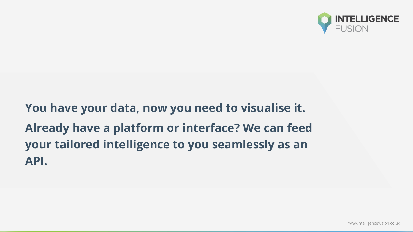

### **You have your data, now you need to visualise it. Already have a platform or interface? We can feed your tailored intelligence to you seamlessly as an API.**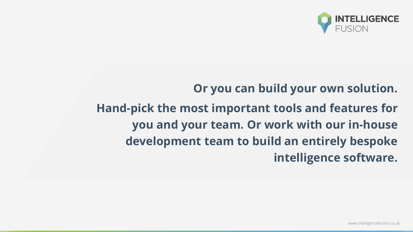

### **Or you can build your own solution. Hand-pick the most important tools and features for you and your team. Or work with our in-house development team to build an entirely bespoke intelligence software.**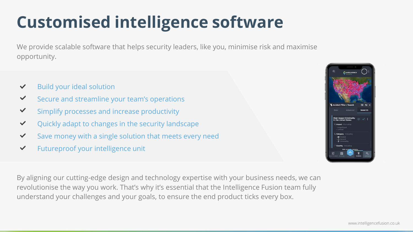## **Customised intelligence software**

We provide scalable software that helps security leaders, like you, minimise risk and maximise opportunity.

- Build your ideal solution  $\checkmark$
- $\checkmark$ Secure and streamline your team's operations
- $\checkmark$ Simplify processes and increase productivity
- $\checkmark$ Quickly adapt to changes in the security landscape
- $\checkmark$ Save money with a single solution that meets every need
- $\checkmark$ Futureproof your intelligence unit



By aligning our cutting-edge design and technology expertise with your business needs, we can revolutionise the way you work. That's why it's essential that the Intelligence Fusion team fully understand your challenges and your goals, to ensure the end product ticks every box.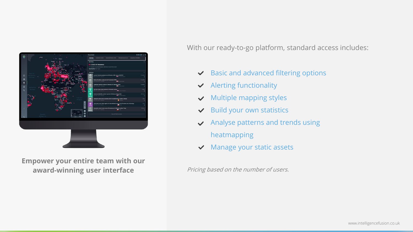

**Empower your entire team with our award-winning user interface**

With our ready-to-go platform, standard access includes:

- Basic and advanced filtering options  $\checkmark$
- Alerting functionality  $\checkmark$
- Multiple mapping styles  $\checkmark$
- Build your own statistics  $\checkmark$
- $\blacktriangleright$  Analyse patterns and trends using heatmapping
- Manage your static assets  $\checkmark$

Pricing based on the number of users.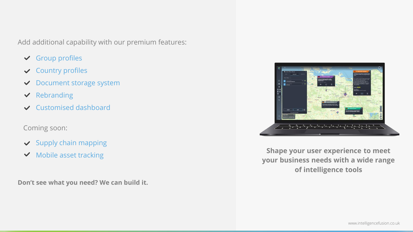Add additional capability with our premium features:

- Group profiles  $\checkmark$
- Country profiles  $\checkmark$
- Document storage system  $\checkmark$
- Rebranding  $\checkmark$
- Customised dashboard  $\checkmark$

Coming soon:

- $\vee$  Supply chain mapping
- Mobile asset tracking  $\checkmark$

**Don't see what you need? We can build it.** 



**Shape your user experience to meet your business needs with a wide range of intelligence tools**